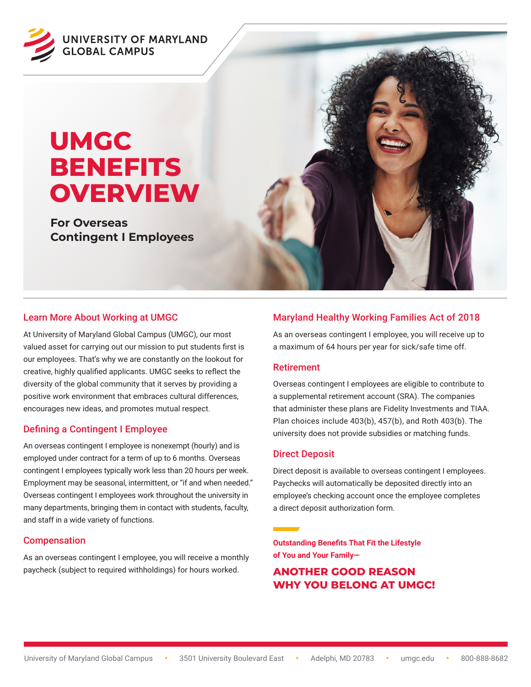

# **UMGC BENEFITS OVERVIEW**

**For Overseas Contingent I Employees**



At University of Maryland Global Campus (UMGC), our most valued asset for carrying out our mission to put students first is our employees. That's why we are constantly on the lookout for creative, highly qualified applicants. UMGC seeks to reflect the diversity of the global community that it serves by providing a positive work environment that embraces cultural differences, encourages new ideas, and promotes mutual respect.

## Defining a Contingent I Employee

An overseas contingent I employee is nonexempt (hourly) and is employed under contract for a term of up to 6 months. Overseas contingent I employees typically work less than 20 hours per week. Employment may be seasonal, intermittent, or "if and when needed." Overseas contingent I employees work throughout the university in many departments, bringing them in contact with students, faculty, and staff in a wide variety of functions.

#### Compensation

As an overseas contingent I employee, you will receive a monthly paycheck (subject to required withholdings) for hours worked.

## Maryland Healthy Working Families Act of 2018

As an overseas contingent I employee, you will receive up to a maximum of 64 hours per year for sick/safe time off.

#### Retirement

Overseas contingent I employees are eligible to contribute to a supplemental retirement account (SRA). The companies that administer these plans are Fidelity Investments and TIAA. Plan choices include 403(b), 457(b), and Roth 403(b). The university does not provide subsidies or matching funds.

## Direct Deposit

Direct deposit is available to overseas contingent I employees. Paychecks will automatically be deposited directly into an employee's checking account once the employee completes a direct deposit authorization form.

**Outstanding Benefits That Fit the Lifestyle of You and Your Family—**

**ANOTHER GOOD REASON WHY YOU BELONG AT UMGC!**